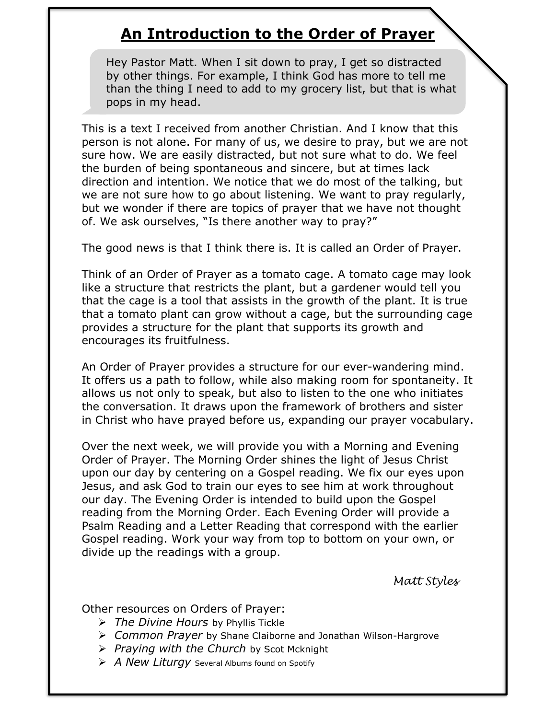# **An Introduction to the Order of Prayer**

Hey Pastor Matt. When I sit down to pray, I get so distracted by other things. For example, I think God has more to tell me than the thing I need to add to my grocery list, but that is what pops in my head.

This is a text I received from another Christian. And I know that this person is not alone. For many of us, we desire to pray, but we are not sure how. We are easily distracted, but not sure what to do. We feel the burden of being spontaneous and sincere, but at times lack direction and intention. We notice that we do most of the talking, but we are not sure how to go about listening. We want to pray regularly, but we wonder if there are topics of prayer that we have not thought of. We ask ourselves, "Is there another way to pray?"

The good news is that I think there is. It is called an Order of Prayer.

Think of an Order of Prayer as a tomato cage. A tomato cage may look like a structure that restricts the plant, but a gardener would tell you that the cage is a tool that assists in the growth of the plant. It is true that a tomato plant can grow without a cage, but the surrounding cage provides a structure for the plant that supports its growth and encourages its fruitfulness.

An Order of Prayer provides a structure for our ever-wandering mind. It offers us a path to follow, while also making room for spontaneity. It allows us not only to speak, but also to listen to the one who initiates the conversation. It draws upon the framework of brothers and sister in Christ who have prayed before us, expanding our prayer vocabulary.

Over the next week, we will provide you with a Morning and Evening Order of Prayer. The Morning Order shines the light of Jesus Christ upon our day by centering on a Gospel reading. We fix our eyes upon Jesus, and ask God to train our eyes to see him at work throughout our day. The Evening Order is intended to build upon the Gospel reading from the Morning Order. Each Evening Order will provide a Psalm Reading and a Letter Reading that correspond with the earlier Gospel reading. Work your way from top to bottom on your own, or divide up the readings with a group.

*Matt Styles*

Other resources on Orders of Prayer:

- *The Divine Hours* by Phyllis Tickle
- *Common Prayer* by Shane Claiborne and Jonathan Wilson-Hargrove
- *Praying with the Church* by Scot Mcknight
- *A New Liturgy* Several Albums found on Spotify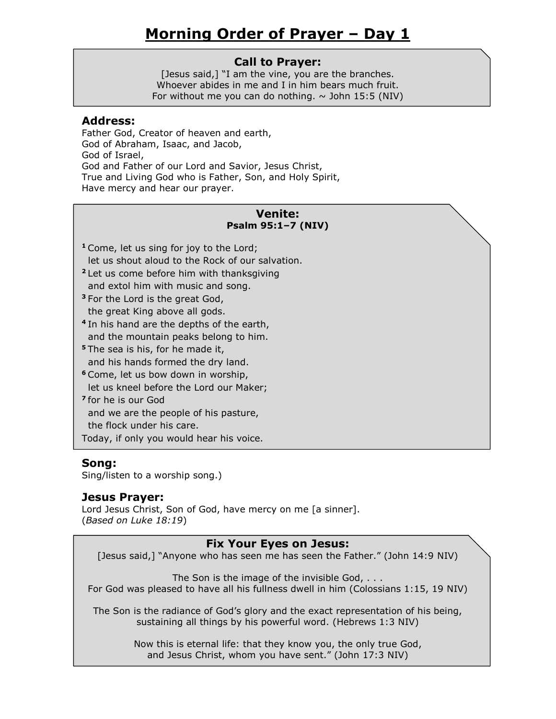### **Call to Prayer:**

[Jesus said,] "I am the vine, you are the branches. Whoever abides in me and I in him bears much fruit. For without me you can do nothing.  $\sim$  John 15:5 (NIV)

#### **Address:**

Father God, Creator of heaven and earth, God of Abraham, Isaac, and Jacob, God of Israel, God and Father of our Lord and Savior, Jesus Christ, True and Living God who is Father, Son, and Holy Spirit, Have mercy and hear our prayer.

#### **Venite: Psalm 95:1–7 (NIV)**

- **<sup>1</sup>** Come, let us sing for joy to the Lord; let us shout aloud to the Rock of our salvation.
- **<sup>2</sup>** Let us come before him with thanksgiving and extol him with music and song.
- **<sup>3</sup>** For the Lord is the great God, the great King above all gods.
- **4** In his hand are the depths of the earth, and the mountain peaks belong to him.
- **<sup>5</sup>** The sea is his, for he made it, and his hands formed the dry land.
- **<sup>6</sup>** Come, let us bow down in worship, let us kneel before the Lord our Maker;
- **7** for he is our God

and we are the people of his pasture,

the flock under his care.

Today, if only you would hear his voice.

# **Song:**

Sing/listen to a worship song.)

# **Jesus Prayer:**

Lord Jesus Christ, Son of God, have mercy on me [a sinner]. (*Based on Luke 18:19*)

# **Fix Your Eyes on Jesus:**

[Jesus said,] "Anyone who has seen me has seen the Father." (John 14:9 NIV)

The Son is the image of the invisible God, . . . For God was pleased to have all his fullness dwell in him (Colossians 1:15, 19 NIV)

The Son is the radiance of God's glory and the exact representation of his being, sustaining all things by his powerful word. (Hebrews 1:3 NIV)

> Now this is eternal life: that they know you, the only true God, and Jesus Christ, whom you have sent." (John 17:3 NIV)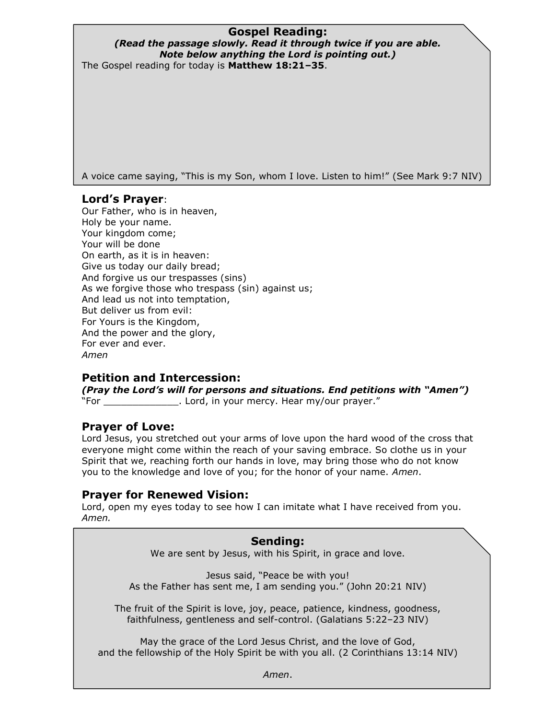# **Gospel Reading:**

#### *(Read the passage slowly. Read it through twice if you are able. Note below anything the Lord is pointing out.)* The Gospel reading for today is **Matthew 18:21–35**.

A voice came saying, "This is my Son, whom I love. Listen to him!" (See Mark 9:7 NIV)

# **Lord's Prayer**:

Our Father, who is in heaven, Holy be your name. Your kingdom come; Your will be done On earth, as it is in heaven: Give us today our daily bread; And forgive us our trespasses (sins) As we forgive those who trespass (sin) against us; And lead us not into temptation, But deliver us from evil: For Yours is the Kingdom, And the power and the glory, For ever and ever. *Amen*

# **Petition and Intercession:**

*(Pray the Lord's will for persons and situations. End petitions with "Amen")*  "For Same Morretter Cord, in your mercy. Hear my/our prayer."

# **Prayer of Love:**

Lord Jesus, you stretched out your arms of love upon the hard wood of the cross that everyone might come within the reach of your saving embrace. So clothe us in your Spirit that we, reaching forth our hands in love, may bring those who do not know you to the knowledge and love of you; for the honor of your name. *Amen*.

# **Prayer for Renewed Vision:**

Lord, open my eyes today to see how I can imitate what I have received from you. *Amen.* 

#### **Sending:**

We are sent by Jesus, with his Spirit, in grace and love.

Jesus said, "Peace be with you! As the Father has sent me, I am sending you." (John 20:21 NIV)

The fruit of the Spirit is love, joy, peace, patience, kindness, goodness, faithfulness, gentleness and self-control. (Galatians 5:22–23 NIV)

May the grace of the Lord Jesus Christ, and the love of God, and the fellowship of the Holy Spirit be with you all. (2 Corinthians 13:14 NIV)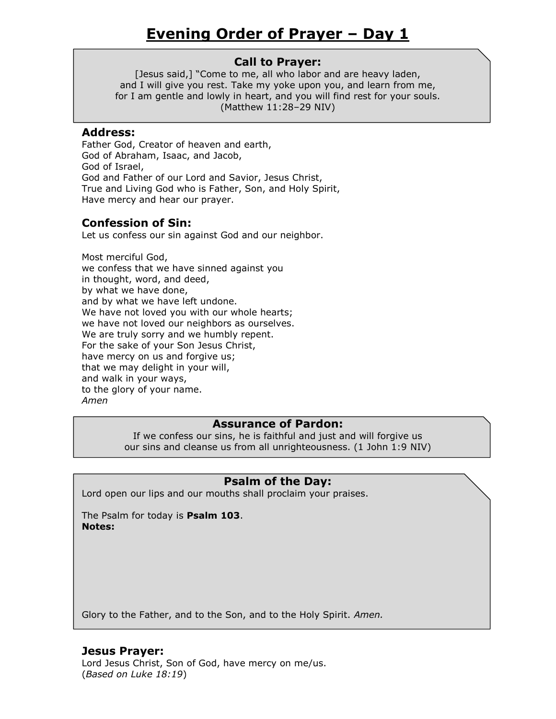[Jesus said,] "Come to me, all who labor and are heavy laden, and I will give you rest. Take my yoke upon you, and learn from me, for I am gentle and lowly in heart, and you will find rest for your souls. (Matthew 11:28–29 NIV)

#### **Address:**

Father God, Creator of heaven and earth, God of Abraham, Isaac, and Jacob, God of Israel, God and Father of our Lord and Savior, Jesus Christ, True and Living God who is Father, Son, and Holy Spirit, Have mercy and hear our prayer.

# **Confession of Sin:**

Let us confess our sin against God and our neighbor.

Most merciful God, we confess that we have sinned against you in thought, word, and deed, by what we have done, and by what we have left undone. We have not loved you with our whole hearts; we have not loved our neighbors as ourselves. We are truly sorry and we humbly repent. For the sake of your Son Jesus Christ, have mercy on us and forgive us; that we may delight in your will, and walk in your ways, to the glory of your name. *Amen*

# **Assurance of Pardon:**

If we confess our sins, he is faithful and just and will forgive us our sins and cleanse us from all unrighteousness. (1 John 1:9 NIV)

# **Psalm of the Day:**

Lord open our lips and our mouths shall proclaim your praises.

The Psalm for today is **Psalm 103**. **Notes:**

Glory to the Father, and to the Son, and to the Holy Spirit. *Amen.*

# **Jesus Prayer:**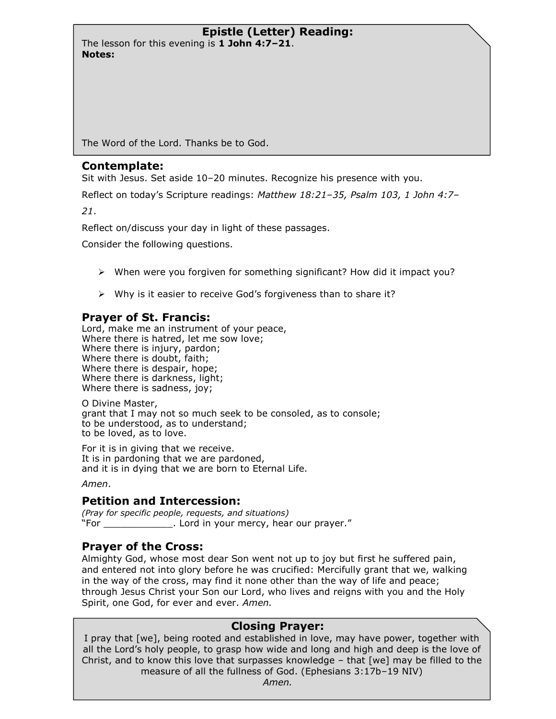The lesson for this evening is **1 John 4:7–21**. **Notes:**

The Word of the Lord. Thanks be to God.

#### **Contemplate:**

Sit with Jesus. Set aside 10–20 minutes. Recognize his presence with you.

Reflect on today's Scripture readings: *Matthew 18:21–35, Psalm 103, 1 John 4:7–*

*21*.

Reflect on/discuss your day in light of these passages.

Consider the following questions.

- $\triangleright$  When were you forgiven for something significant? How did it impact you?
- $\triangleright$  Why is it easier to receive God's forgiveness than to share it?

# **Prayer of St. Francis:**

Lord, make me an instrument of your peace, Where there is hatred, let me sow love; Where there is injury, pardon; Where there is doubt, faith; Where there is despair, hope; Where there is darkness, light; Where there is sadness, joy;

O Divine Master, grant that I may not so much seek to be consoled, as to console; to be understood, as to understand; to be loved, as to love.

For it is in giving that we receive. It is in pardoning that we are pardoned, and it is in dying that we are born to Eternal Life.

*Amen*.

# **Petition and Intercession:**

*(Pray for specific people, requests, and situations)*  "For \_\_\_\_\_\_\_\_\_\_\_\_. Lord in your mercy, hear our prayer."

# **Prayer of the Cross:**

Almighty God, whose most dear Son went not up to joy but first he suffered pain, and entered not into glory before he was crucified: Mercifully grant that we, walking in the way of the cross, may find it none other than the way of life and peace; through Jesus Christ your Son our Lord, who lives and reigns with you and the Holy Spirit, one God, for ever and ever. *Amen.*

# **Closing Prayer:**

I pray that [we], being rooted and established in love, may have power, together with all the Lord's holy people, to grasp how wide and long and high and deep is the love of Christ, and to know this love that surpasses knowledge – that [we] may be filled to the measure of all the fullness of God. (Ephesians 3:17b–19 NIV)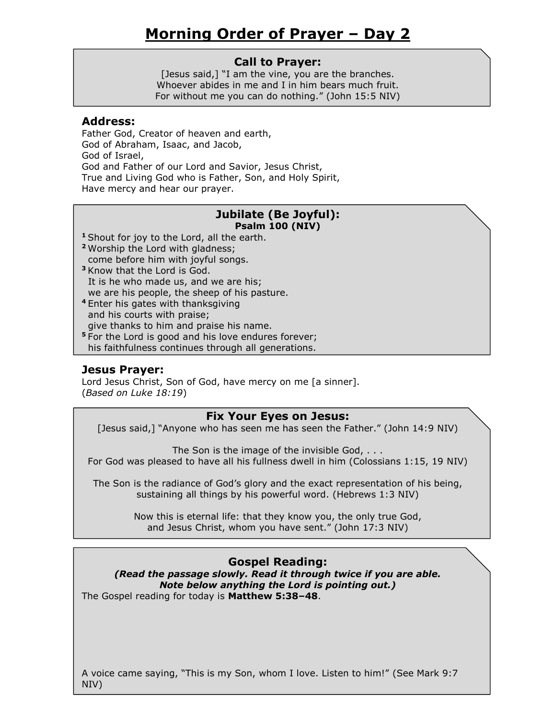### **Call to Prayer:**

[Jesus said,] "I am the vine, you are the branches. Whoever abides in me and I in him bears much fruit. For without me you can do nothing." (John 15:5 NIV)

#### **Address:**

Father God, Creator of heaven and earth, God of Abraham, Isaac, and Jacob, God of Israel, God and Father of our Lord and Savior, Jesus Christ, True and Living God who is Father, Son, and Holy Spirit, Have mercy and hear our prayer.

#### **Jubilate (Be Joyful): Psalm 100 (NIV)**

- **<sup>1</sup>** Shout for joy to the Lord, all the earth.
- **<sup>2</sup>** Worship the Lord with gladness; come before him with joyful songs.
- **<sup>3</sup>** Know that the Lord is God. It is he who made us, and we are his; we are his people, the sheep of his pasture.
- **<sup>4</sup>** Enter his gates with thanksgiving and his courts with praise; give thanks to him and praise his name.
- **<sup>5</sup>** For the Lord is good and his love endures forever; his faithfulness continues through all generations.

# **Jesus Prayer:**

Lord Jesus Christ, Son of God, have mercy on me [a sinner]. (*Based on Luke 18:19*)

#### **Fix Your Eyes on Jesus:**

[Jesus said,] "Anyone who has seen me has seen the Father." (John 14:9 NIV)

The Son is the image of the invisible God, . . . For God was pleased to have all his fullness dwell in him (Colossians 1:15, 19 NIV)

The Son is the radiance of God's glory and the exact representation of his being, sustaining all things by his powerful word. (Hebrews 1:3 NIV)

> Now this is eternal life: that they know you, the only true God, and Jesus Christ, whom you have sent." (John 17:3 NIV)

# **Gospel Reading:**

*(Read the passage slowly. Read it through twice if you are able. Note below anything the Lord is pointing out.)* The Gospel reading for today is **Matthew 5:38–48**.

A voice came saying, "This is my Son, whom I love. Listen to him!" (See Mark 9:7 NIV)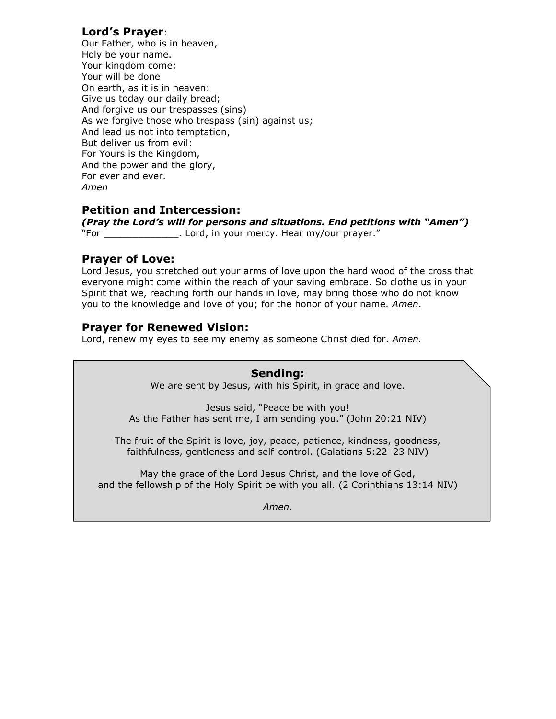# **Lord's Prayer**:

Our Father, who is in heaven, Holy be your name. Your kingdom come; Your will be done On earth, as it is in heaven: Give us today our daily bread; And forgive us our trespasses (sins) As we forgive those who trespass (sin) against us; And lead us not into temptation, But deliver us from evil: For Yours is the Kingdom, And the power and the glory, For ever and ever. *Amen*

# **Petition and Intercession:**

*(Pray the Lord's will for persons and situations. End petitions with "Amen")*  "For \_\_\_\_\_\_\_\_\_\_\_\_\_. Lord, in your mercy. Hear my/our prayer."

# **Prayer of Love:**

Lord Jesus, you stretched out your arms of love upon the hard wood of the cross that everyone might come within the reach of your saving embrace. So clothe us in your Spirit that we, reaching forth our hands in love, may bring those who do not know you to the knowledge and love of you; for the honor of your name. *Amen*.

# **Prayer for Renewed Vision:**

Lord, renew my eyes to see my enemy as someone Christ died for. *Amen.*

#### **Sending:**

We are sent by Jesus, with his Spirit, in grace and love.

Jesus said, "Peace be with you! As the Father has sent me, I am sending you." (John 20:21 NIV)

The fruit of the Spirit is love, joy, peace, patience, kindness, goodness, faithfulness, gentleness and self-control. (Galatians 5:22–23 NIV)

May the grace of the Lord Jesus Christ, and the love of God, and the fellowship of the Holy Spirit be with you all. (2 Corinthians 13:14 NIV)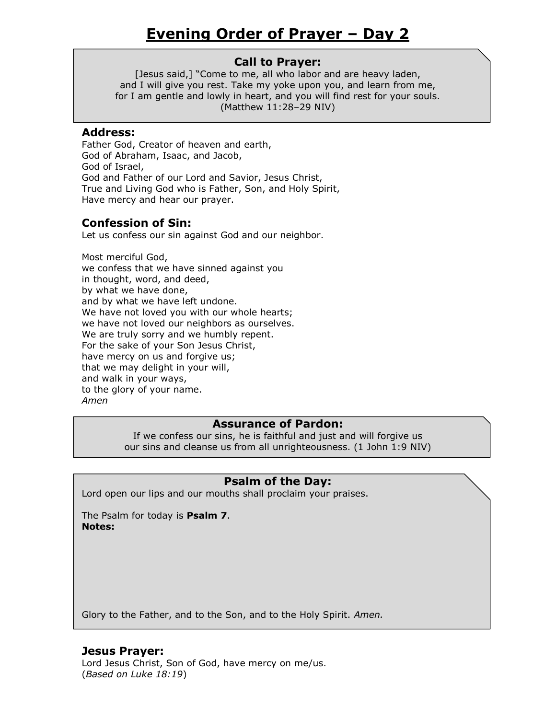[Jesus said,] "Come to me, all who labor and are heavy laden, and I will give you rest. Take my yoke upon you, and learn from me, for I am gentle and lowly in heart, and you will find rest for your souls. (Matthew 11:28–29 NIV)

#### **Address:**

Father God, Creator of heaven and earth, God of Abraham, Isaac, and Jacob, God of Israel, God and Father of our Lord and Savior, Jesus Christ, True and Living God who is Father, Son, and Holy Spirit, Have mercy and hear our prayer.

# **Confession of Sin:**

Let us confess our sin against God and our neighbor.

Most merciful God, we confess that we have sinned against you in thought, word, and deed, by what we have done, and by what we have left undone. We have not loved you with our whole hearts; we have not loved our neighbors as ourselves. We are truly sorry and we humbly repent. For the sake of your Son Jesus Christ, have mercy on us and forgive us; that we may delight in your will, and walk in your ways, to the glory of your name. *Amen*

# **Assurance of Pardon:**

If we confess our sins, he is faithful and just and will forgive us our sins and cleanse us from all unrighteousness. (1 John 1:9 NIV)

# **Psalm of the Day:**

Lord open our lips and our mouths shall proclaim your praises.

The Psalm for today is **Psalm 7**. **Notes:**

Glory to the Father, and to the Son, and to the Holy Spirit. *Amen.*

# **Jesus Prayer:**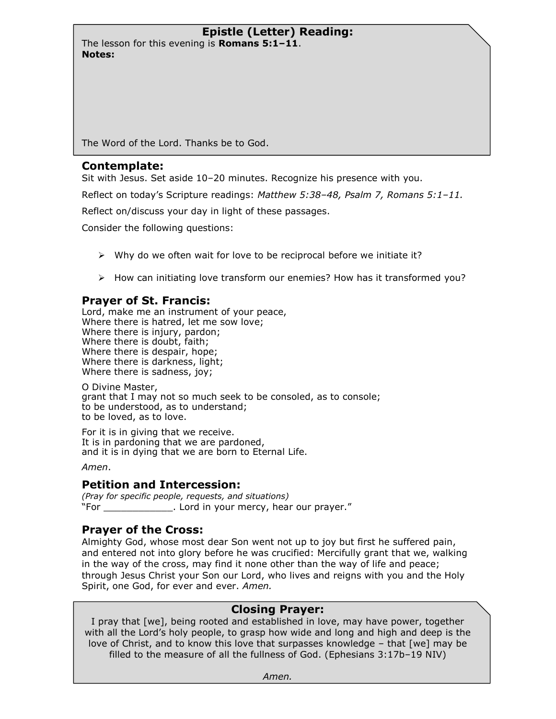The lesson for this evening is **Romans 5:1–11**. **Notes:**

The Word of the Lord. Thanks be to God.

#### **Contemplate:**

Sit with Jesus. Set aside 10–20 minutes. Recognize his presence with you.

Reflect on today's Scripture readings: *Matthew 5:38–48, Psalm 7, Romans 5:1–11.*

Reflect on/discuss your day in light of these passages.

Consider the following questions:

- $\triangleright$  Why do we often wait for love to be reciprocal before we initiate it?
- $\triangleright$  How can initiating love transform our enemies? How has it transformed you?

# **Prayer of St. Francis:**

Lord, make me an instrument of your peace, Where there is hatred, let me sow love; Where there is injury, pardon; Where there is doubt, faith; Where there is despair, hope; Where there is darkness, light; Where there is sadness, joy;

O Divine Master, grant that I may not so much seek to be consoled, as to console; to be understood, as to understand; to be loved, as to love.

For it is in giving that we receive. It is in pardoning that we are pardoned, and it is in dying that we are born to Eternal Life.

*Amen*.

# **Petition and Intercession:**

*(Pray for specific people, requests, and situations)*  "For \_\_\_\_\_\_\_\_\_\_\_\_. Lord in your mercy, hear our prayer."

# **Prayer of the Cross:**

Almighty God, whose most dear Son went not up to joy but first he suffered pain, and entered not into glory before he was crucified: Mercifully grant that we, walking in the way of the cross, may find it none other than the way of life and peace; through Jesus Christ your Son our Lord, who lives and reigns with you and the Holy Spirit, one God, for ever and ever. *Amen.*

# **Closing Prayer:**

I pray that [we], being rooted and established in love, may have power, together with all the Lord's holy people, to grasp how wide and long and high and deep is the love of Christ, and to know this love that surpasses knowledge – that [we] may be filled to the measure of all the fullness of God. (Ephesians 3:17b–19 NIV)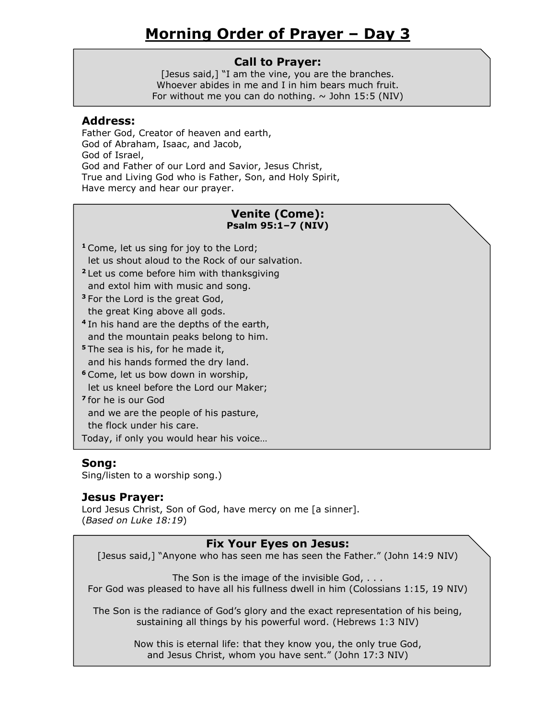### **Call to Prayer:**

[Jesus said,] "I am the vine, you are the branches. Whoever abides in me and I in him bears much fruit. For without me you can do nothing.  $\sim$  John 15:5 (NIV)

#### **Address:**

Father God, Creator of heaven and earth, God of Abraham, Isaac, and Jacob, God of Israel, God and Father of our Lord and Savior, Jesus Christ, True and Living God who is Father, Son, and Holy Spirit, Have mercy and hear our prayer.

### **Venite (Come): Psalm 95:1–7 (NIV)**

- **<sup>1</sup>** Come, let us sing for joy to the Lord; let us shout aloud to the Rock of our salvation.
- **<sup>2</sup>** Let us come before him with thanksgiving and extol him with music and song.
- **<sup>3</sup>** For the Lord is the great God, the great King above all gods.
- **4** In his hand are the depths of the earth, and the mountain peaks belong to him.
- **<sup>5</sup>** The sea is his, for he made it, and his hands formed the dry land.
- **<sup>6</sup>** Come, let us bow down in worship,
- let us kneel before the Lord our Maker;
- **7** for he is our God and we are the people of his pasture,

the flock under his care.

Today, if only you would hear his voice…

# **Song:**

Sing/listen to a worship song.)

# **Jesus Prayer:**

Lord Jesus Christ, Son of God, have mercy on me [a sinner]. (*Based on Luke 18:19*)

# **Fix Your Eyes on Jesus:**

[Jesus said,] "Anyone who has seen me has seen the Father." (John 14:9 NIV)

The Son is the image of the invisible God, . . . For God was pleased to have all his fullness dwell in him (Colossians 1:15, 19 NIV)

The Son is the radiance of God's glory and the exact representation of his being, sustaining all things by his powerful word. (Hebrews 1:3 NIV)

> Now this is eternal life: that they know you, the only true God, and Jesus Christ, whom you have sent." (John 17:3 NIV)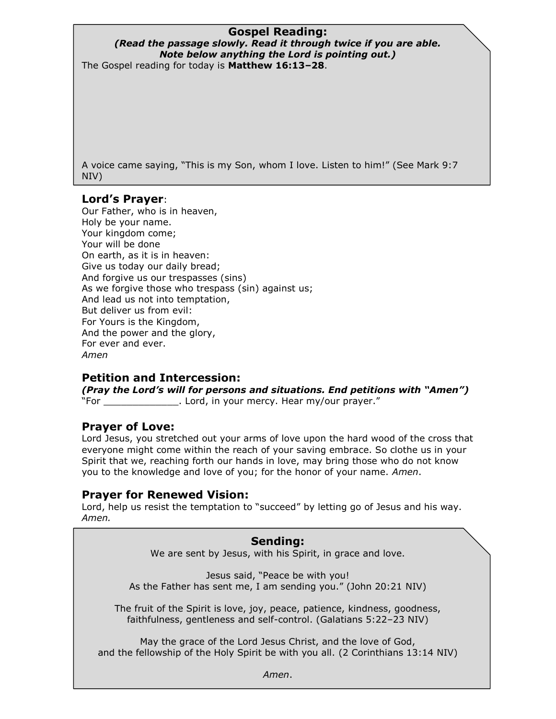# **Gospel Reading:**

#### *(Read the passage slowly. Read it through twice if you are able. Note below anything the Lord is pointing out.)* The Gospel reading for today is **Matthew 16:13–28**.

A voice came saying, "This is my Son, whom I love. Listen to him!" (See Mark 9:7 NIV)

# **Lord's Prayer**:

Our Father, who is in heaven, Holy be your name. Your kingdom come; Your will be done On earth, as it is in heaven: Give us today our daily bread; And forgive us our trespasses (sins) As we forgive those who trespass (sin) against us; And lead us not into temptation, But deliver us from evil: For Yours is the Kingdom, And the power and the glory, For ever and ever. *Amen*

# **Petition and Intercession:**

*(Pray the Lord's will for persons and situations. End petitions with "Amen")*  "For Same Morretter Lord, in your mercy. Hear my/our prayer."

# **Prayer of Love:**

Lord Jesus, you stretched out your arms of love upon the hard wood of the cross that everyone might come within the reach of your saving embrace. So clothe us in your Spirit that we, reaching forth our hands in love, may bring those who do not know you to the knowledge and love of you; for the honor of your name. *Amen*.

# **Prayer for Renewed Vision:**

Lord, help us resist the temptation to "succeed" by letting go of Jesus and his way. *Amen.* 

#### **Sending:**

We are sent by Jesus, with his Spirit, in grace and love.

Jesus said, "Peace be with you! As the Father has sent me, I am sending you." (John 20:21 NIV)

The fruit of the Spirit is love, joy, peace, patience, kindness, goodness, faithfulness, gentleness and self-control. (Galatians 5:22–23 NIV)

May the grace of the Lord Jesus Christ, and the love of God, and the fellowship of the Holy Spirit be with you all. (2 Corinthians 13:14 NIV)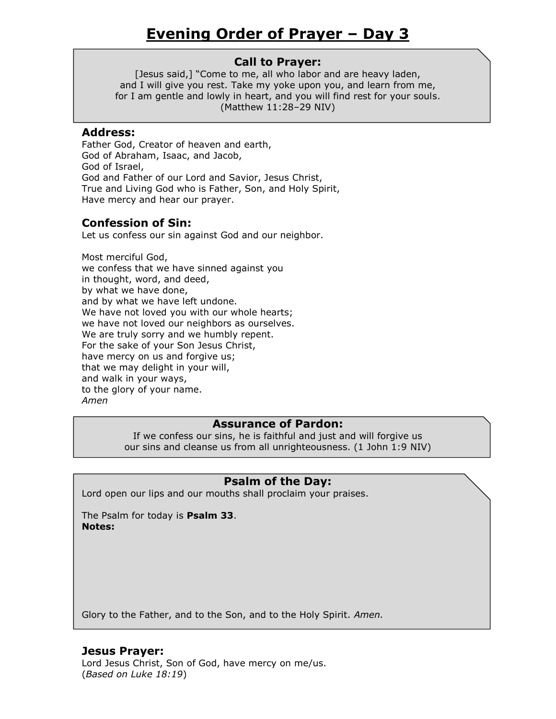[Jesus said,] "Come to me, all who labor and are heavy laden, and I will give you rest. Take my yoke upon you, and learn from me, for I am gentle and lowly in heart, and you will find rest for your souls. (Matthew 11:28–29 NIV)

#### **Address:**

Father God, Creator of heaven and earth, God of Abraham, Isaac, and Jacob, God of Israel, God and Father of our Lord and Savior, Jesus Christ, True and Living God who is Father, Son, and Holy Spirit, Have mercy and hear our prayer.

# **Confession of Sin:**

Let us confess our sin against God and our neighbor.

Most merciful God, we confess that we have sinned against you in thought, word, and deed, by what we have done, and by what we have left undone. We have not loved you with our whole hearts; we have not loved our neighbors as ourselves. We are truly sorry and we humbly repent. For the sake of your Son Jesus Christ, have mercy on us and forgive us; that we may delight in your will, and walk in your ways, to the glory of your name. *Amen*

# **Assurance of Pardon:**

If we confess our sins, he is faithful and just and will forgive us our sins and cleanse us from all unrighteousness. (1 John 1:9 NIV)

# **Psalm of the Day:**

Lord open our lips and our mouths shall proclaim your praises.

The Psalm for today is **Psalm 33**. **Notes:**

Glory to the Father, and to the Son, and to the Holy Spirit. *Amen.*

# **Jesus Prayer:**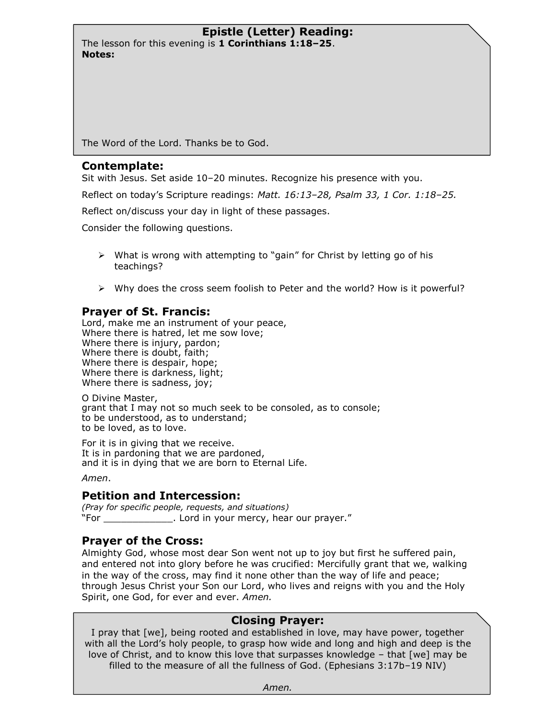The lesson for this evening is **1 Corinthians 1:18–25**. **Notes:**

The Word of the Lord. Thanks be to God.

#### **Contemplate:**

Sit with Jesus. Set aside 10–20 minutes. Recognize his presence with you.

Reflect on today's Scripture readings: *Matt. 16:13–28, Psalm 33, 1 Cor. 1:18–25.*

Reflect on/discuss your day in light of these passages.

Consider the following questions.

- $\triangleright$  What is wrong with attempting to "gain" for Christ by letting go of his teachings?
- $\triangleright$  Why does the cross seem foolish to Peter and the world? How is it powerful?

# **Prayer of St. Francis:**

Lord, make me an instrument of your peace, Where there is hatred, let me sow love; Where there is injury, pardon; Where there is doubt, faith; Where there is despair, hope; Where there is darkness, light; Where there is sadness, joy;

O Divine Master, grant that I may not so much seek to be consoled, as to console; to be understood, as to understand; to be loved, as to love.

For it is in giving that we receive. It is in pardoning that we are pardoned, and it is in dying that we are born to Eternal Life.

*Amen*.

# **Petition and Intercession:**

*(Pray for specific people, requests, and situations)*  "For \_\_\_\_\_\_\_\_\_\_\_\_. Lord in your mercy, hear our prayer."

# **Prayer of the Cross:**

Almighty God, whose most dear Son went not up to joy but first he suffered pain, and entered not into glory before he was crucified: Mercifully grant that we, walking in the way of the cross, may find it none other than the way of life and peace; through Jesus Christ your Son our Lord, who lives and reigns with you and the Holy Spirit, one God, for ever and ever. *Amen.*

# **Closing Prayer:**

I pray that [we], being rooted and established in love, may have power, together with all the Lord's holy people, to grasp how wide and long and high and deep is the love of Christ, and to know this love that surpasses knowledge – that [we] may be filled to the measure of all the fullness of God. (Ephesians 3:17b–19 NIV)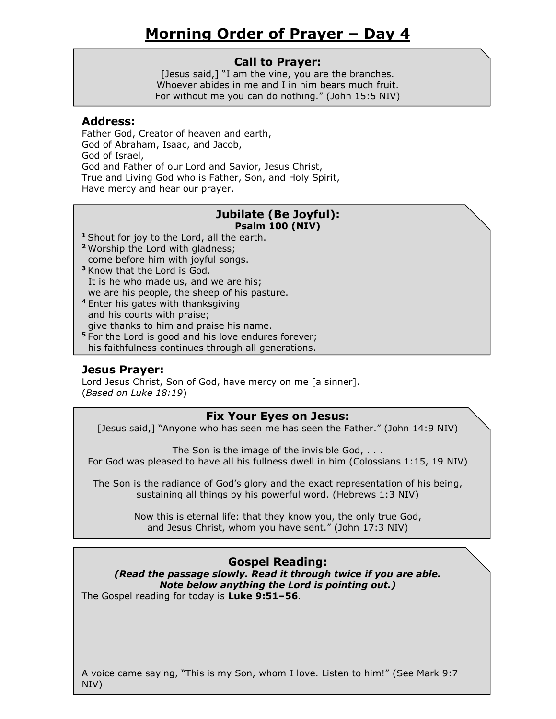### **Call to Prayer:**

[Jesus said,] "I am the vine, you are the branches. Whoever abides in me and I in him bears much fruit. For without me you can do nothing." (John 15:5 NIV)

#### **Address:**

Father God, Creator of heaven and earth, God of Abraham, Isaac, and Jacob, God of Israel, God and Father of our Lord and Savior, Jesus Christ, True and Living God who is Father, Son, and Holy Spirit, Have mercy and hear our prayer.

#### **Jubilate (Be Joyful): Psalm 100 (NIV)**

- **<sup>1</sup>** Shout for joy to the Lord, all the earth.
- **<sup>2</sup>** Worship the Lord with gladness; come before him with joyful songs.
- **<sup>3</sup>** Know that the Lord is God. It is he who made us, and we are his; we are his people, the sheep of his pasture.
- **<sup>4</sup>** Enter his gates with thanksgiving and his courts with praise; give thanks to him and praise his name.
- **<sup>5</sup>** For the Lord is good and his love endures forever; his faithfulness continues through all generations.

# **Jesus Prayer:**

Lord Jesus Christ, Son of God, have mercy on me [a sinner]. (*Based on Luke 18:19*)

#### **Fix Your Eyes on Jesus:**

[Jesus said,] "Anyone who has seen me has seen the Father." (John 14:9 NIV)

The Son is the image of the invisible God, . . . For God was pleased to have all his fullness dwell in him (Colossians 1:15, 19 NIV)

The Son is the radiance of God's glory and the exact representation of his being, sustaining all things by his powerful word. (Hebrews 1:3 NIV)

> Now this is eternal life: that they know you, the only true God, and Jesus Christ, whom you have sent." (John 17:3 NIV)

# **Gospel Reading:**

*(Read the passage slowly. Read it through twice if you are able. Note below anything the Lord is pointing out.)* The Gospel reading for today is **Luke 9:51–56**.

A voice came saying, "This is my Son, whom I love. Listen to him!" (See Mark 9:7 NIV)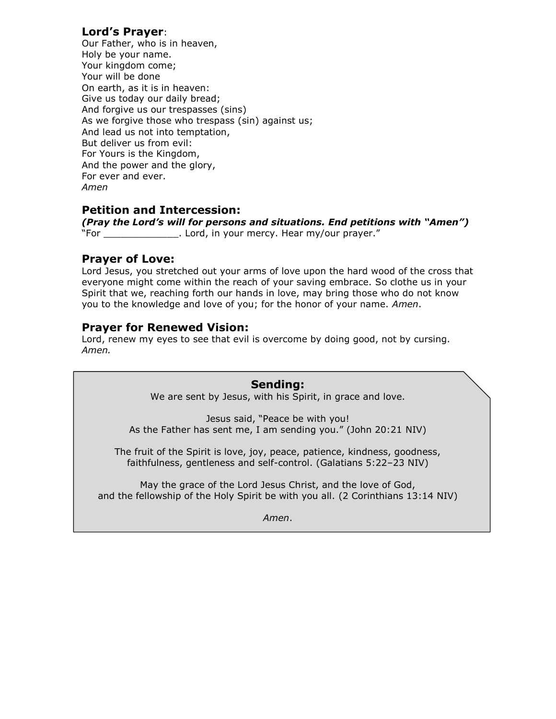# **Lord's Prayer**:

Our Father, who is in heaven, Holy be your name. Your kingdom come; Your will be done On earth, as it is in heaven: Give us today our daily bread; And forgive us our trespasses (sins) As we forgive those who trespass (sin) against us; And lead us not into temptation, But deliver us from evil: For Yours is the Kingdom, And the power and the glory, For ever and ever. *Amen*

# **Petition and Intercession:**

*(Pray the Lord's will for persons and situations. End petitions with "Amen")*  "For \_\_\_\_\_\_\_\_\_\_\_\_\_. Lord, in your mercy. Hear my/our prayer."

#### **Prayer of Love:**

Lord Jesus, you stretched out your arms of love upon the hard wood of the cross that everyone might come within the reach of your saving embrace. So clothe us in your Spirit that we, reaching forth our hands in love, may bring those who do not know you to the knowledge and love of you; for the honor of your name. *Amen*.

# **Prayer for Renewed Vision:**

Lord, renew my eyes to see that evil is overcome by doing good, not by cursing. *Amen.*

> **Sending:** We are sent by Jesus, with his Spirit, in grace and love.

Jesus said, "Peace be with you! As the Father has sent me, I am sending you." (John 20:21 NIV)

The fruit of the Spirit is love, joy, peace, patience, kindness, goodness, faithfulness, gentleness and self-control. (Galatians 5:22–23 NIV)

May the grace of the Lord Jesus Christ, and the love of God, and the fellowship of the Holy Spirit be with you all. (2 Corinthians 13:14 NIV)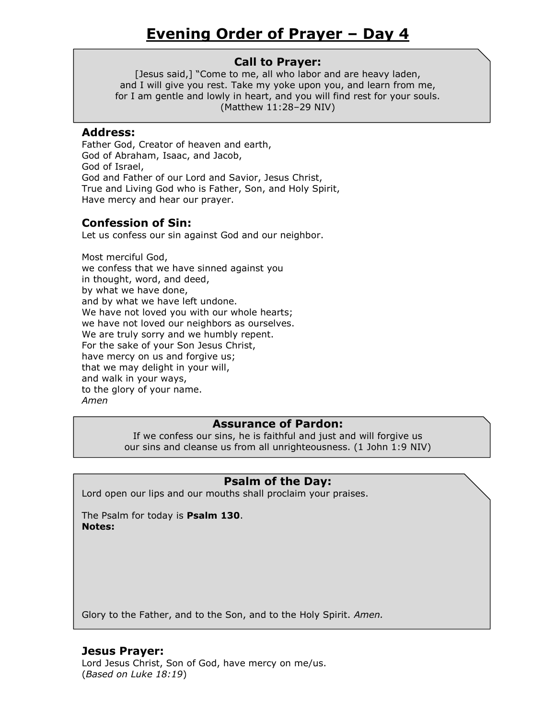[Jesus said,] "Come to me, all who labor and are heavy laden, and I will give you rest. Take my yoke upon you, and learn from me, for I am gentle and lowly in heart, and you will find rest for your souls. (Matthew 11:28–29 NIV)

#### **Address:**

Father God, Creator of heaven and earth, God of Abraham, Isaac, and Jacob, God of Israel, God and Father of our Lord and Savior, Jesus Christ, True and Living God who is Father, Son, and Holy Spirit, Have mercy and hear our prayer.

# **Confession of Sin:**

Let us confess our sin against God and our neighbor.

Most merciful God, we confess that we have sinned against you in thought, word, and deed, by what we have done, and by what we have left undone. We have not loved you with our whole hearts; we have not loved our neighbors as ourselves. We are truly sorry and we humbly repent. For the sake of your Son Jesus Christ, have mercy on us and forgive us; that we may delight in your will, and walk in your ways, to the glory of your name. *Amen*

# **Assurance of Pardon:**

If we confess our sins, he is faithful and just and will forgive us our sins and cleanse us from all unrighteousness. (1 John 1:9 NIV)

# **Psalm of the Day:**

Lord open our lips and our mouths shall proclaim your praises.

The Psalm for today is **Psalm 130**. **Notes:**

Glory to the Father, and to the Son, and to the Holy Spirit. *Amen.*

# **Jesus Prayer:**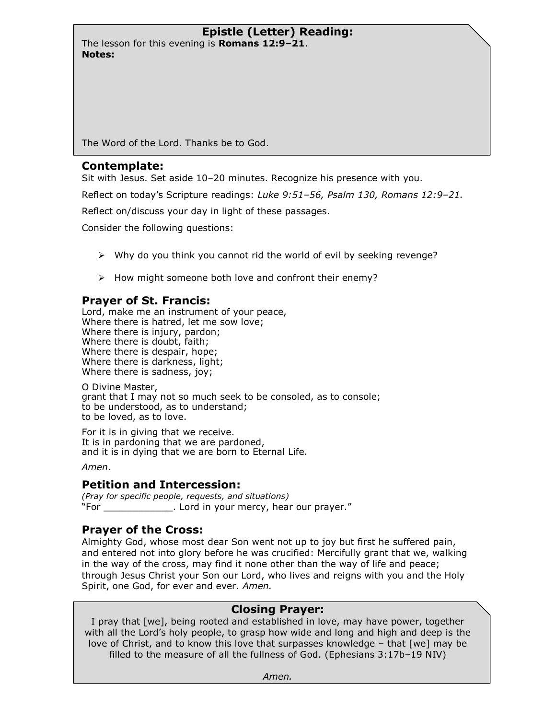The lesson for this evening is **Romans 12:9–21**. **Notes:**

The Word of the Lord. Thanks be to God.

#### **Contemplate:**

Sit with Jesus. Set aside 10–20 minutes. Recognize his presence with you.

Reflect on today's Scripture readings: *Luke 9:51–56, Psalm 130, Romans 12:9–21.*

Reflect on/discuss your day in light of these passages.

Consider the following questions:

- $\triangleright$  Why do you think you cannot rid the world of evil by seeking revenge?
- $\triangleright$  How might someone both love and confront their enemy?

# **Prayer of St. Francis:**

Lord, make me an instrument of your peace, Where there is hatred, let me sow love; Where there is injury, pardon; Where there is doubt, faith; Where there is despair, hope; Where there is darkness, light; Where there is sadness, joy;

O Divine Master, grant that I may not so much seek to be consoled, as to console; to be understood, as to understand; to be loved, as to love.

For it is in giving that we receive. It is in pardoning that we are pardoned, and it is in dying that we are born to Eternal Life.

*Amen*.

# **Petition and Intercession:**

*(Pray for specific people, requests, and situations)*  "For \_\_\_\_\_\_\_\_\_\_\_\_. Lord in your mercy, hear our prayer."

# **Prayer of the Cross:**

Almighty God, whose most dear Son went not up to joy but first he suffered pain, and entered not into glory before he was crucified: Mercifully grant that we, walking in the way of the cross, may find it none other than the way of life and peace; through Jesus Christ your Son our Lord, who lives and reigns with you and the Holy Spirit, one God, for ever and ever. *Amen.*

# **Closing Prayer:**

I pray that [we], being rooted and established in love, may have power, together with all the Lord's holy people, to grasp how wide and long and high and deep is the love of Christ, and to know this love that surpasses knowledge – that [we] may be filled to the measure of all the fullness of God. (Ephesians 3:17b–19 NIV)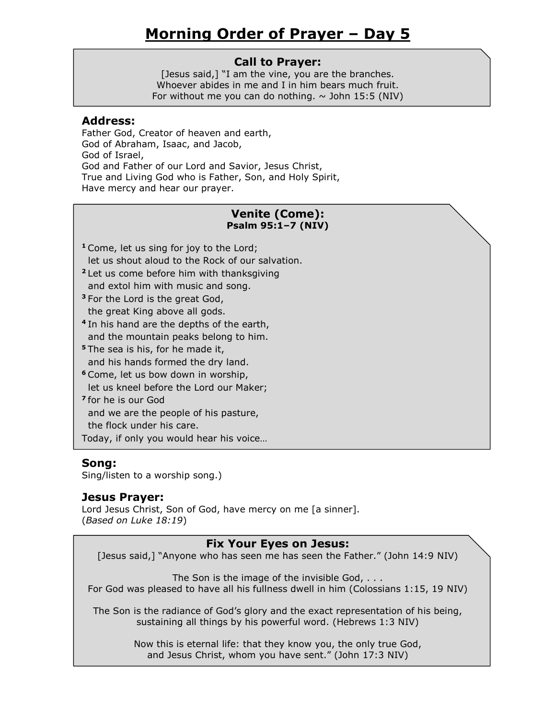### **Call to Prayer:**

[Jesus said,] "I am the vine, you are the branches. Whoever abides in me and I in him bears much fruit. For without me you can do nothing.  $\sim$  John 15:5 (NIV)

#### **Address:**

Father God, Creator of heaven and earth, God of Abraham, Isaac, and Jacob, God of Israel, God and Father of our Lord and Savior, Jesus Christ, True and Living God who is Father, Son, and Holy Spirit, Have mercy and hear our prayer.

### **Venite (Come): Psalm 95:1–7 (NIV)**

- **<sup>1</sup>** Come, let us sing for joy to the Lord; let us shout aloud to the Rock of our salvation.
- **<sup>2</sup>** Let us come before him with thanksgiving and extol him with music and song.
- **<sup>3</sup>** For the Lord is the great God, the great King above all gods.
- **4** In his hand are the depths of the earth, and the mountain peaks belong to him.
- **<sup>5</sup>** The sea is his, for he made it, and his hands formed the dry land.
- **<sup>6</sup>** Come, let us bow down in worship,
- let us kneel before the Lord our Maker;
- **7** for he is our God and we are the people of his pasture,

the flock under his care.

Today, if only you would hear his voice…

# **Song:**

Sing/listen to a worship song.)

# **Jesus Prayer:**

Lord Jesus Christ, Son of God, have mercy on me [a sinner]. (*Based on Luke 18:19*)

# **Fix Your Eyes on Jesus:**

[Jesus said,] "Anyone who has seen me has seen the Father." (John 14:9 NIV)

The Son is the image of the invisible God, . . . For God was pleased to have all his fullness dwell in him (Colossians 1:15, 19 NIV)

The Son is the radiance of God's glory and the exact representation of his being, sustaining all things by his powerful word. (Hebrews 1:3 NIV)

> Now this is eternal life: that they know you, the only true God, and Jesus Christ, whom you have sent." (John 17:3 NIV)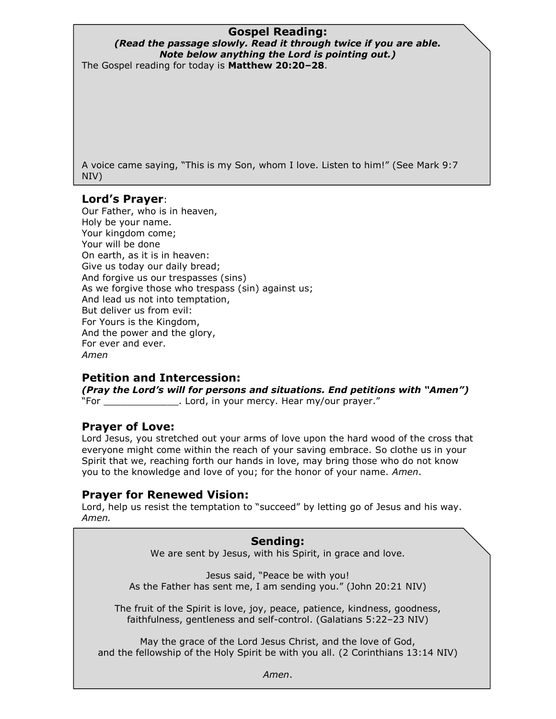# **Gospel Reading:**

#### *(Read the passage slowly. Read it through twice if you are able. Note below anything the Lord is pointing out.)* The Gospel reading for today is **Matthew 20:20–28**.

A voice came saying, "This is my Son, whom I love. Listen to him!" (See Mark 9:7 NIV)

# **Lord's Prayer**:

Our Father, who is in heaven, Holy be your name. Your kingdom come; Your will be done On earth, as it is in heaven: Give us today our daily bread; And forgive us our trespasses (sins) As we forgive those who trespass (sin) against us; And lead us not into temptation, But deliver us from evil: For Yours is the Kingdom, And the power and the glory, For ever and ever. *Amen*

# **Petition and Intercession:**

*(Pray the Lord's will for persons and situations. End petitions with "Amen")*  "For Same Morretter Lord, in your mercy. Hear my/our prayer."

# **Prayer of Love:**

Lord Jesus, you stretched out your arms of love upon the hard wood of the cross that everyone might come within the reach of your saving embrace. So clothe us in your Spirit that we, reaching forth our hands in love, may bring those who do not know you to the knowledge and love of you; for the honor of your name. *Amen*.

# **Prayer for Renewed Vision:**

Lord, help us resist the temptation to "succeed" by letting go of Jesus and his way. *Amen.* 

#### **Sending:**

We are sent by Jesus, with his Spirit, in grace and love.

Jesus said, "Peace be with you! As the Father has sent me, I am sending you." (John 20:21 NIV)

The fruit of the Spirit is love, joy, peace, patience, kindness, goodness, faithfulness, gentleness and self-control. (Galatians 5:22–23 NIV)

May the grace of the Lord Jesus Christ, and the love of God, and the fellowship of the Holy Spirit be with you all. (2 Corinthians 13:14 NIV)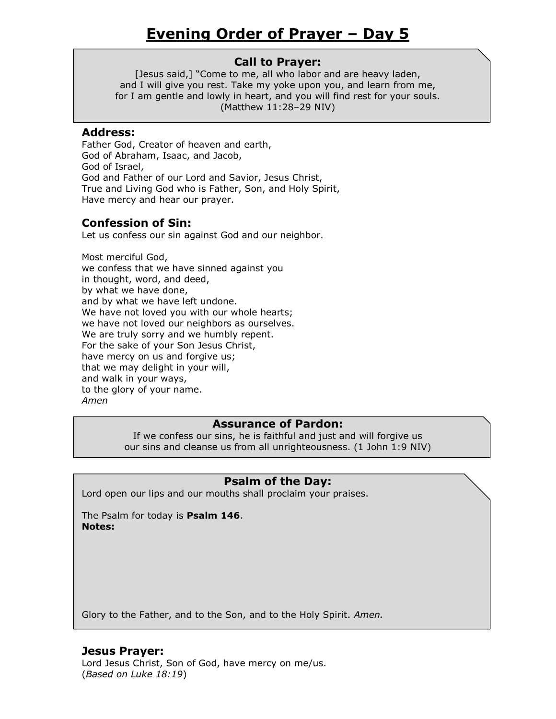[Jesus said,] "Come to me, all who labor and are heavy laden, and I will give you rest. Take my yoke upon you, and learn from me, for I am gentle and lowly in heart, and you will find rest for your souls. (Matthew 11:28–29 NIV)

#### **Address:**

Father God, Creator of heaven and earth, God of Abraham, Isaac, and Jacob, God of Israel, God and Father of our Lord and Savior, Jesus Christ, True and Living God who is Father, Son, and Holy Spirit, Have mercy and hear our prayer.

# **Confession of Sin:**

Let us confess our sin against God and our neighbor.

Most merciful God, we confess that we have sinned against you in thought, word, and deed, by what we have done, and by what we have left undone. We have not loved you with our whole hearts; we have not loved our neighbors as ourselves. We are truly sorry and we humbly repent. For the sake of your Son Jesus Christ, have mercy on us and forgive us; that we may delight in your will, and walk in your ways, to the glory of your name. *Amen*

# **Assurance of Pardon:**

If we confess our sins, he is faithful and just and will forgive us our sins and cleanse us from all unrighteousness. (1 John 1:9 NIV)

# **Psalm of the Day:**

Lord open our lips and our mouths shall proclaim your praises.

The Psalm for today is **Psalm 146**. **Notes:**

Glory to the Father, and to the Son, and to the Holy Spirit. *Amen.*

# **Jesus Prayer:**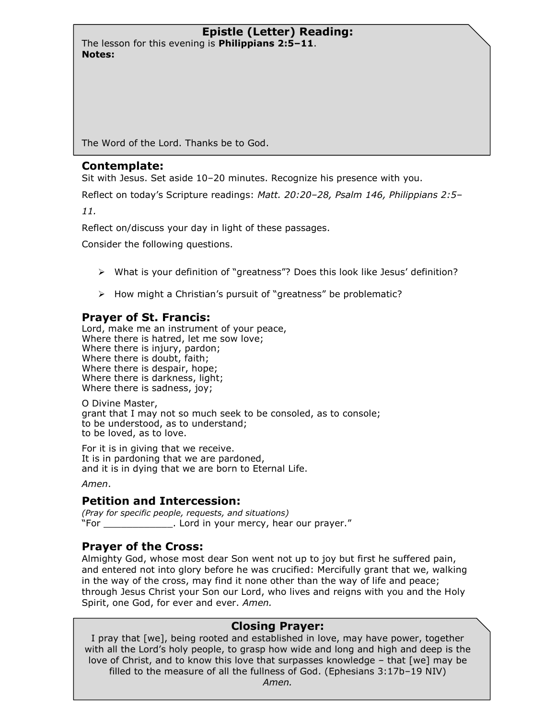The lesson for this evening is **Philippians 2:5–11**. **Notes:**

The Word of the Lord. Thanks be to God.

#### **Contemplate:**

Sit with Jesus. Set aside 10–20 minutes. Recognize his presence with you.

Reflect on today's Scripture readings: *Matt. 20:20–28, Psalm 146, Philippians 2:5–*

*11.*

Reflect on/discuss your day in light of these passages.

Consider the following questions.

- What is your definition of "greatness"? Does this look like Jesus' definition?
- $\triangleright$  How might a Christian's pursuit of "greatness" be problematic?

# **Prayer of St. Francis:**

Lord, make me an instrument of your peace, Where there is hatred, let me sow love; Where there is injury, pardon; Where there is doubt, faith; Where there is despair, hope; Where there is darkness, light; Where there is sadness, joy;

O Divine Master, grant that I may not so much seek to be consoled, as to console; to be understood, as to understand; to be loved, as to love.

For it is in giving that we receive. It is in pardoning that we are pardoned, and it is in dying that we are born to Eternal Life.

*Amen*.

# **Petition and Intercession:**

*(Pray for specific people, requests, and situations)*  "For \_\_\_\_\_\_\_\_\_\_\_\_. Lord in your mercy, hear our prayer."

# **Prayer of the Cross:**

Almighty God, whose most dear Son went not up to joy but first he suffered pain, and entered not into glory before he was crucified: Mercifully grant that we, walking in the way of the cross, may find it none other than the way of life and peace; through Jesus Christ your Son our Lord, who lives and reigns with you and the Holy Spirit, one God, for ever and ever. *Amen.*

# **Closing Prayer:**

I pray that [we], being rooted and established in love, may have power, together with all the Lord's holy people, to grasp how wide and long and high and deep is the love of Christ, and to know this love that surpasses knowledge – that [we] may be filled to the measure of all the fullness of God. (Ephesians 3:17b–19 NIV) *Amen.*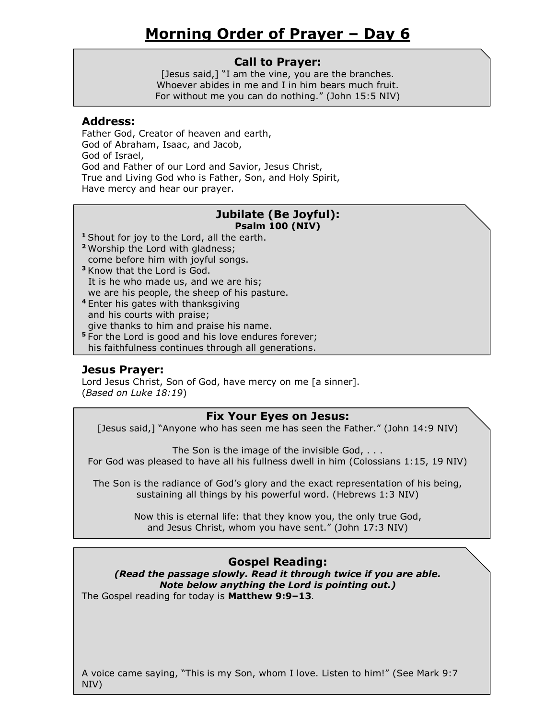#### **Call to Prayer:**

[Jesus said,] "I am the vine, you are the branches. Whoever abides in me and I in him bears much fruit. For without me you can do nothing." (John 15:5 NIV)

#### **Address:**

Father God, Creator of heaven and earth, God of Abraham, Isaac, and Jacob, God of Israel, God and Father of our Lord and Savior, Jesus Christ, True and Living God who is Father, Son, and Holy Spirit, Have mercy and hear our prayer.

#### **Jubilate (Be Joyful): Psalm 100 (NIV)**

- **<sup>1</sup>** Shout for joy to the Lord, all the earth.
- **<sup>2</sup>** Worship the Lord with gladness; come before him with joyful songs.
- **<sup>3</sup>** Know that the Lord is God. It is he who made us, and we are his; we are his people, the sheep of his pasture.
- **<sup>4</sup>** Enter his gates with thanksgiving and his courts with praise; give thanks to him and praise his name.
- **<sup>5</sup>** For the Lord is good and his love endures forever; his faithfulness continues through all generations.

# **Jesus Prayer:**

Lord Jesus Christ, Son of God, have mercy on me [a sinner]. (*Based on Luke 18:19*)

#### **Fix Your Eyes on Jesus:**

[Jesus said,] "Anyone who has seen me has seen the Father." (John 14:9 NIV)

The Son is the image of the invisible God, . . . For God was pleased to have all his fullness dwell in him (Colossians 1:15, 19 NIV)

The Son is the radiance of God's glory and the exact representation of his being, sustaining all things by his powerful word. (Hebrews 1:3 NIV)

> Now this is eternal life: that they know you, the only true God, and Jesus Christ, whom you have sent." (John 17:3 NIV)

# **Gospel Reading:**

*(Read the passage slowly. Read it through twice if you are able. Note below anything the Lord is pointing out.)* The Gospel reading for today is **Matthew 9:9–13***.*

A voice came saying, "This is my Son, whom I love. Listen to him!" (See Mark 9:7 NIV)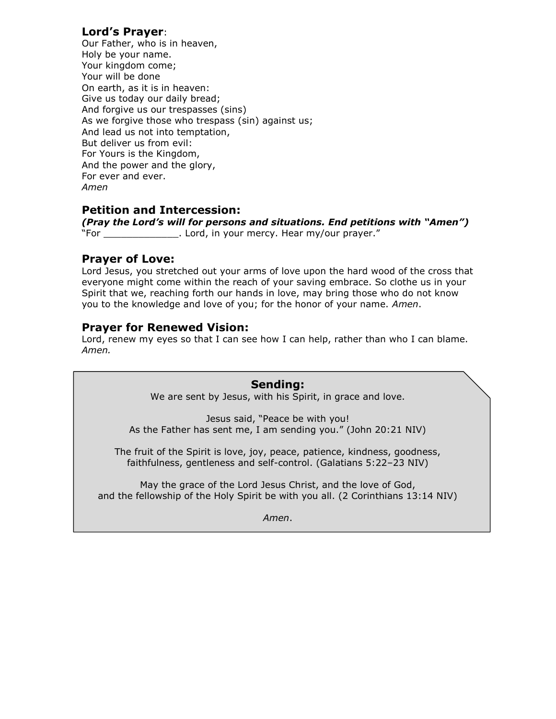# **Lord's Prayer**:

Our Father, who is in heaven, Holy be your name. Your kingdom come; Your will be done On earth, as it is in heaven: Give us today our daily bread; And forgive us our trespasses (sins) As we forgive those who trespass (sin) against us; And lead us not into temptation, But deliver us from evil: For Yours is the Kingdom, And the power and the glory, For ever and ever. *Amen*

# **Petition and Intercession:**

*(Pray the Lord's will for persons and situations. End petitions with "Amen")*  "For \_\_\_\_\_\_\_\_\_\_\_\_\_. Lord, in your mercy. Hear my/our prayer."

#### **Prayer of Love:**

Lord Jesus, you stretched out your arms of love upon the hard wood of the cross that everyone might come within the reach of your saving embrace. So clothe us in your Spirit that we, reaching forth our hands in love, may bring those who do not know you to the knowledge and love of you; for the honor of your name. *Amen*.

# **Prayer for Renewed Vision:**

Lord, renew my eyes so that I can see how I can help, rather than who I can blame. *Amen.*

> **Sending:** We are sent by Jesus, with his Spirit, in grace and love.

Jesus said, "Peace be with you! As the Father has sent me, I am sending you." (John 20:21 NIV)

The fruit of the Spirit is love, joy, peace, patience, kindness, goodness, faithfulness, gentleness and self-control. (Galatians 5:22–23 NIV)

May the grace of the Lord Jesus Christ, and the love of God, and the fellowship of the Holy Spirit be with you all. (2 Corinthians 13:14 NIV)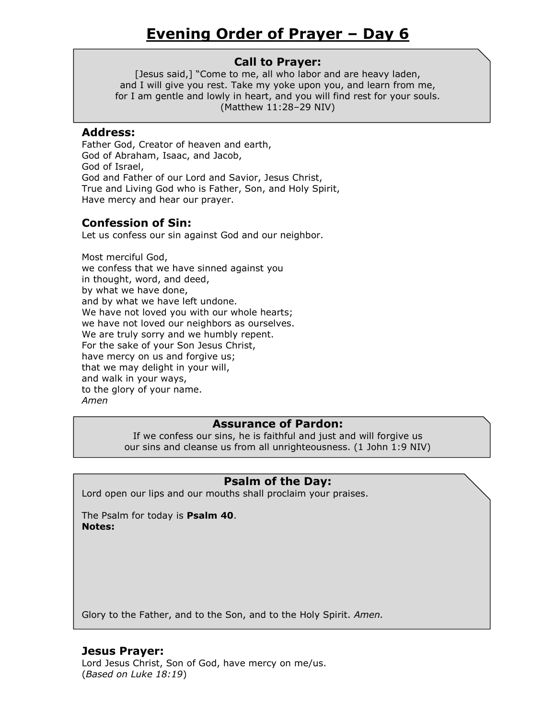[Jesus said,] "Come to me, all who labor and are heavy laden, and I will give you rest. Take my yoke upon you, and learn from me, for I am gentle and lowly in heart, and you will find rest for your souls. (Matthew 11:28–29 NIV)

#### **Address:**

Father God, Creator of heaven and earth, God of Abraham, Isaac, and Jacob, God of Israel, God and Father of our Lord and Savior, Jesus Christ, True and Living God who is Father, Son, and Holy Spirit, Have mercy and hear our prayer.

# **Confession of Sin:**

Let us confess our sin against God and our neighbor.

Most merciful God, we confess that we have sinned against you in thought, word, and deed, by what we have done, and by what we have left undone. We have not loved you with our whole hearts; we have not loved our neighbors as ourselves. We are truly sorry and we humbly repent. For the sake of your Son Jesus Christ, have mercy on us and forgive us; that we may delight in your will, and walk in your ways, to the glory of your name. *Amen*

# **Assurance of Pardon:**

If we confess our sins, he is faithful and just and will forgive us our sins and cleanse us from all unrighteousness. (1 John 1:9 NIV)

# **Psalm of the Day:**

Lord open our lips and our mouths shall proclaim your praises.

The Psalm for today is **Psalm 40**. **Notes:**

Glory to the Father, and to the Son, and to the Holy Spirit. *Amen.*

# **Jesus Prayer:**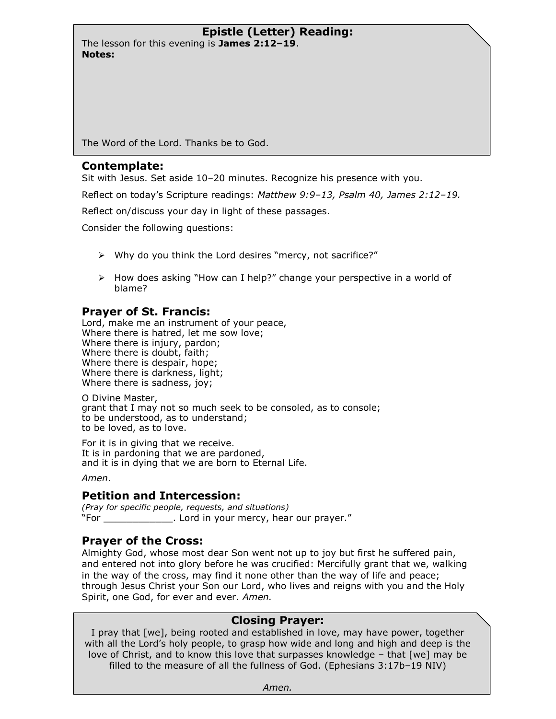The lesson for this evening is **James 2:12–19**. **Notes:**

The Word of the Lord. Thanks be to God.

#### **Contemplate:**

Sit with Jesus. Set aside 10–20 minutes. Recognize his presence with you.

Reflect on today's Scripture readings: *Matthew 9:9–13, Psalm 40, James 2:12–19.*

Reflect on/discuss your day in light of these passages.

Consider the following questions:

- $\triangleright$  Why do you think the Lord desires "mercy, not sacrifice?"
- $\triangleright$  How does asking "How can I help?" change your perspective in a world of blame?

# **Prayer of St. Francis:**

Lord, make me an instrument of your peace, Where there is hatred, let me sow love; Where there is injury, pardon; Where there is doubt, faith; Where there is despair, hope; Where there is darkness, light; Where there is sadness, joy;

O Divine Master, grant that I may not so much seek to be consoled, as to console; to be understood, as to understand; to be loved, as to love.

For it is in giving that we receive. It is in pardoning that we are pardoned, and it is in dying that we are born to Eternal Life.

*Amen*.

# **Petition and Intercession:**

*(Pray for specific people, requests, and situations)*  "For \_\_\_\_\_\_\_\_\_\_\_\_. Lord in your mercy, hear our prayer."

# **Prayer of the Cross:**

Almighty God, whose most dear Son went not up to joy but first he suffered pain, and entered not into glory before he was crucified: Mercifully grant that we, walking in the way of the cross, may find it none other than the way of life and peace; through Jesus Christ your Son our Lord, who lives and reigns with you and the Holy Spirit, one God, for ever and ever. *Amen.*

# **Closing Prayer:**

I pray that [we], being rooted and established in love, may have power, together with all the Lord's holy people, to grasp how wide and long and high and deep is the love of Christ, and to know this love that surpasses knowledge – that [we] may be filled to the measure of all the fullness of God. (Ephesians 3:17b–19 NIV)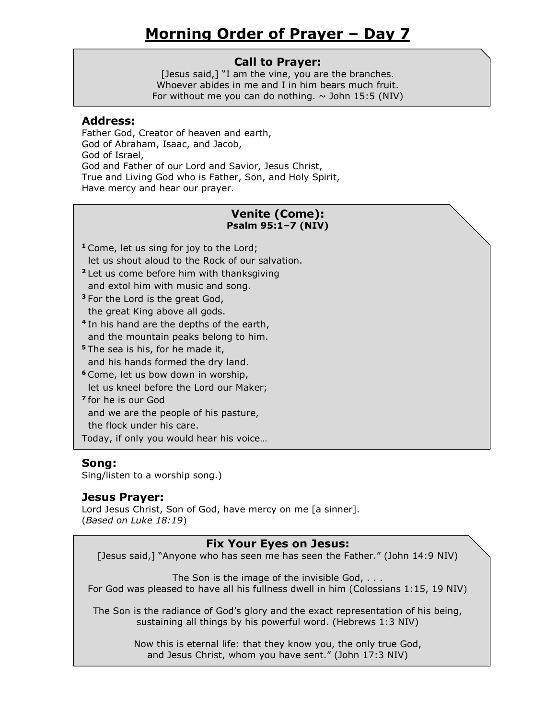# **Call to Prayer:**

[Jesus said,] "I am the vine, you are the branches. Whoever abides in me and I in him bears much fruit. For without me you can do nothing.  $\sim$  John 15:5 (NIV)

#### **Address:**

Father God, Creator of heaven and earth, God of Abraham, Isaac, and Jacob, God of Israel, God and Father of our Lord and Savior, Jesus Christ, True and Living God who is Father, Son, and Holy Spirit, Have mercy and hear our prayer.

# **Venite (Come): Psalm 95:1–7 (NIV)**

- **<sup>1</sup>** Come, let us sing for joy to the Lord; let us shout aloud to the Rock of our salvation.
- **<sup>2</sup>** Let us come before him with thanksgiving and extol him with music and song.
- **<sup>3</sup>** For the Lord is the great God, the great King above all gods.
- **4** In his hand are the depths of the earth, and the mountain peaks belong to him.
- **<sup>5</sup>** The sea is his, for he made it, and his hands formed the dry land.
- **<sup>6</sup>** Come, let us bow down in worship,
- let us kneel before the Lord our Maker;
- **7** for he is our God and we are the people of his pasture,

the flock under his care.

Today, if only you would hear his voice…

# **Song:**

Sing/listen to a worship song.)

# **Jesus Prayer:**

Lord Jesus Christ, Son of God, have mercy on me [a sinner]. (*Based on Luke 18:19*)

# **Fix Your Eyes on Jesus:**

[Jesus said,] "Anyone who has seen me has seen the Father." (John 14:9 NIV)

The Son is the image of the invisible God, . . . For God was pleased to have all his fullness dwell in him (Colossians 1:15, 19 NIV)

The Son is the radiance of God's glory and the exact representation of his being, sustaining all things by his powerful word. (Hebrews 1:3 NIV)

> Now this is eternal life: that they know you, the only true God, and Jesus Christ, whom you have sent." (John 17:3 NIV)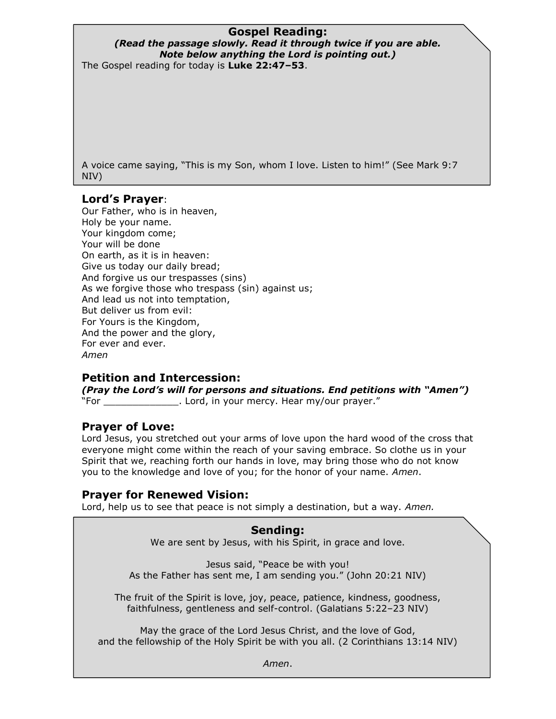# **Gospel Reading:**

#### *(Read the passage slowly. Read it through twice if you are able. Note below anything the Lord is pointing out.)* The Gospel reading for today is **Luke 22:47–53**.

A voice came saying, "This is my Son, whom I love. Listen to him!" (See Mark 9:7 NIV)

# **Lord's Prayer**:

Our Father, who is in heaven, Holy be your name. Your kingdom come; Your will be done On earth, as it is in heaven: Give us today our daily bread; And forgive us our trespasses (sins) As we forgive those who trespass (sin) against us; And lead us not into temptation, But deliver us from evil: For Yours is the Kingdom, And the power and the glory, For ever and ever. *Amen*

# **Petition and Intercession:**

*(Pray the Lord's will for persons and situations. End petitions with "Amen")*  "For Same Theord, in your mercy. Hear my/our prayer."

# **Prayer of Love:**

Lord Jesus, you stretched out your arms of love upon the hard wood of the cross that everyone might come within the reach of your saving embrace. So clothe us in your Spirit that we, reaching forth our hands in love, may bring those who do not know you to the knowledge and love of you; for the honor of your name. *Amen*.

# **Prayer for Renewed Vision:**

Lord, help us to see that peace is not simply a destination, but a way. *Amen.*

#### **Sending:**

We are sent by Jesus, with his Spirit, in grace and love.

Jesus said, "Peace be with you! As the Father has sent me, I am sending you." (John 20:21 NIV)

The fruit of the Spirit is love, joy, peace, patience, kindness, goodness, faithfulness, gentleness and self-control. (Galatians 5:22–23 NIV)

May the grace of the Lord Jesus Christ, and the love of God, and the fellowship of the Holy Spirit be with you all. (2 Corinthians 13:14 NIV)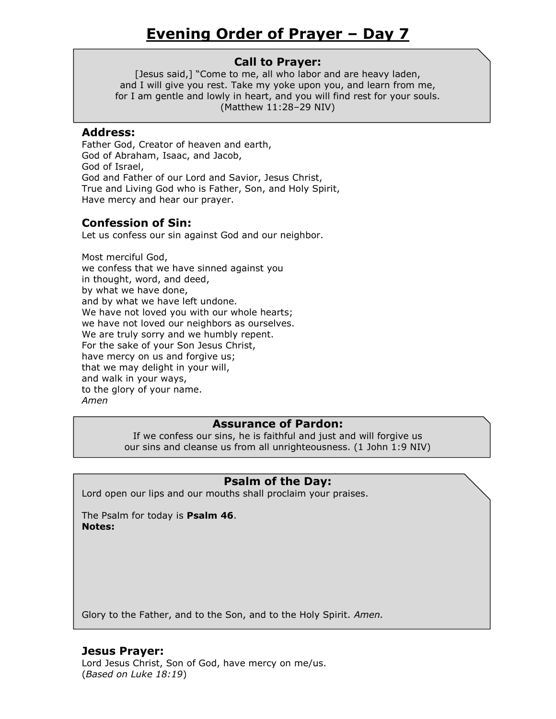[Jesus said,] "Come to me, all who labor and are heavy laden, and I will give you rest. Take my yoke upon you, and learn from me, for I am gentle and lowly in heart, and you will find rest for your souls. (Matthew 11:28–29 NIV)

#### **Address:**

Father God, Creator of heaven and earth, God of Abraham, Isaac, and Jacob, God of Israel, God and Father of our Lord and Savior, Jesus Christ, True and Living God who is Father, Son, and Holy Spirit, Have mercy and hear our prayer.

# **Confession of Sin:**

Let us confess our sin against God and our neighbor.

Most merciful God, we confess that we have sinned against you in thought, word, and deed, by what we have done, and by what we have left undone. We have not loved you with our whole hearts; we have not loved our neighbors as ourselves. We are truly sorry and we humbly repent. For the sake of your Son Jesus Christ, have mercy on us and forgive us; that we may delight in your will, and walk in your ways, to the glory of your name. *Amen*

# **Assurance of Pardon:**

If we confess our sins, he is faithful and just and will forgive us our sins and cleanse us from all unrighteousness. (1 John 1:9 NIV)

# **Psalm of the Day:**

Lord open our lips and our mouths shall proclaim your praises.

The Psalm for today is **Psalm 46**. **Notes:**

Glory to the Father, and to the Son, and to the Holy Spirit. *Amen.*

# **Jesus Prayer:**